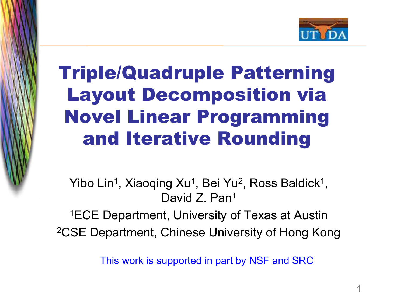

# Triple/Quadruple Patterning Layout Decomposition via Novel Linear Programming and Iterative Rounding

The picture can't be displayed.

Yibo Lin<sup>1</sup>, Xiaoqing Xu<sup>1</sup>, Bei Yu<sup>2</sup>, Ross Baldick<sup>1</sup>, David Z. Pan<sup>1</sup>

1ECE Department, University of Texas at Austin 2CSE Department, Chinese University of Hong Kong

This work is supported in part by NSF and SRC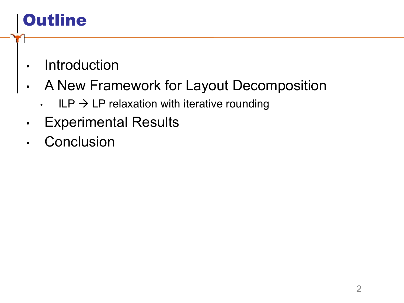# **Outline**

- **Introduction**
- A New Framework for Layout Decomposition
	- $\cdot$  ILP  $\rightarrow$  LP relaxation with iterative rounding
- **Experimental Results**
- **Conclusion**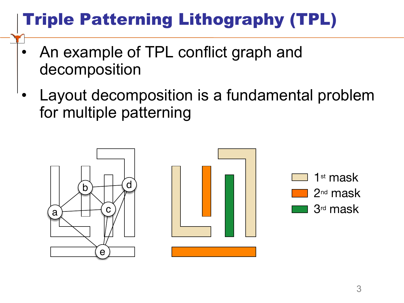# Triple Patterning Lithography (TPL)

- An example of TPL conflict graph and decomposition
- Layout decomposition is a fundamental problem for multiple patterning



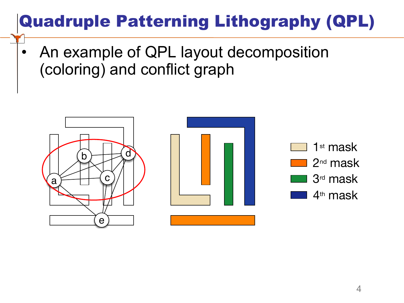# Quadruple Patterning Lithography (QPL)

• An example of QPL layout decomposition (coloring) and conflict graph

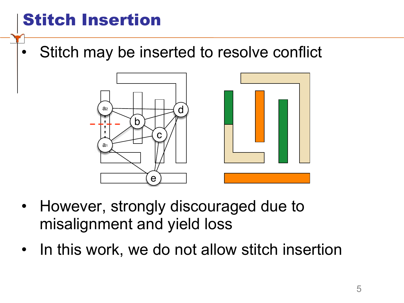# Stitch Insertion

The picture can't be displayed.

Stitch may be inserted to resolve conflict



- However, strongly discouraged due to misalignment and yield loss
- In this work, we do not allow stitch insertion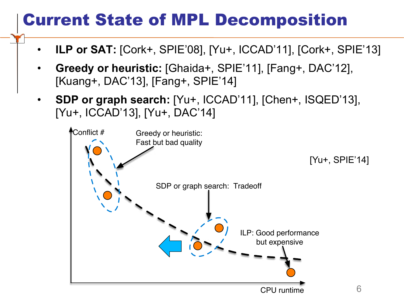#### Current State of MPL Decomposition

- **ILP or SAT:** [Cork+, SPIE'08], [Yu+, ICCAD'11], [Cork+, SPIE'13]
- **Greedy or heuristic:** [Ghaida+, SPIE'11], [Fang+, DAC'12], [Kuang+, DAC'13], [Fang+, SPIE'14]
- **SDP or graph search:** [Yu+, ICCAD'11], [Chen+, ISQED'13], [Yu+, ICCAD'13], [Yu+, DAC'14]

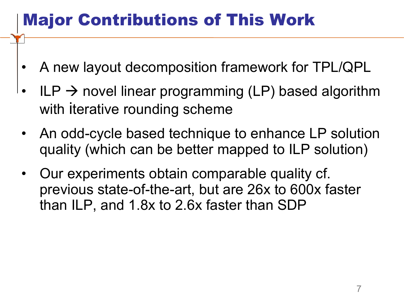## Major Contributions of This Work

- A new layout decomposition framework for TPL/QPL
- $ILP \rightarrow$  novel linear programming (LP) based algorithm with iterative rounding scheme
- An odd-cycle based technique to enhance LP solution quality (which can be better mapped to ILP solution)
- Our experiments obtain comparable quality cf. previous state-of-the-art, but are 26x to 600x faster than ILP, and 1.8x to 2.6x faster than SDP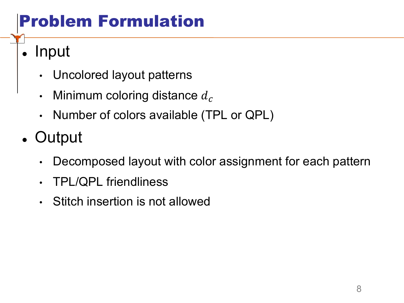# Problem Formulation

 $\blacksquare$  Input

- Uncolored layout patterns
- Minimum coloring distance  $d_c$
- Number of colors available (TPL or QPL)
- Output
	- Decomposed layout with color assignment for each pattern
	- TPL/QPL friendliness
	- Stitch insertion is not allowed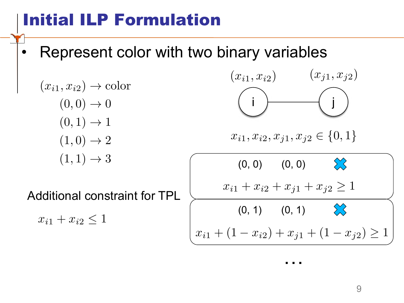## Initial ILP Formulation

• Represent color with two binary variables

 $(x_{i1}, x_{i2}) \rightarrow$  color  $(0,0) \rightarrow 0$  $(0,1) \rightarrow 1$  $(1,0) \rightarrow 2$  $(1, 1) \rightarrow 3$ 

The picture can't be displayed.

Additional constraint for TPL

 $x_{i1} + x_{i2} \leq 1$ 

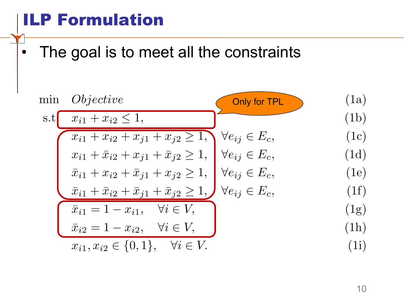#### ILP Formulation

The picture can't be displayed.

• The goal is to meet all the constraints

min *Objective*  
\ns.t 
$$
x_{i1} + x_{i2} \le 1
$$
, (1a)  
\n $x_{i1} + x_{i2} + x_{j1} + x_{j2} \ge 1$ ,  $\forall e_{ij} \in E_c$ , (1c)  
\n $x_{i1} + \bar{x}_{i2} + x_{j1} + \bar{x}_{j2} \ge 1$ ,  $\forall e_{ij} \in E_c$ , (1d)  
\n $\bar{x}_{i1} + x_{i2} + \bar{x}_{j1} + x_{j2} \ge 1$ ,  $\forall e_{ij} \in E_c$ , (1e)  
\n $\bar{x}_{i1} + \bar{x}_{i2} + \bar{x}_{j1} + \bar{x}_{j2} \ge 1$ ,  $\forall e_{ij} \in E_c$ , (1f)  
\n $\bar{x}_{i1} = 1 - x_{i1}$ ,  $\forall i \in V$ , (1g)  
\n $\bar{x}_{i2} = 1 - x_{i2}$ ,  $\forall i \in V$ , (1h)  
\n $x_{i1}, x_{i2} \in \{0, 1\}$ ,  $\forall i \in V$ . (1i)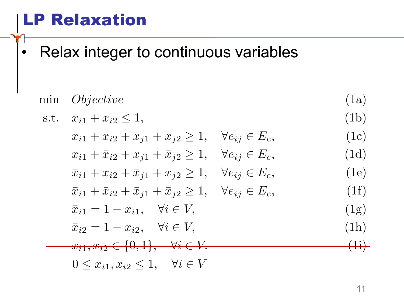#### LP Relaxation

The picture can't be displayed.

• Relax integer to continuous variables

min *Objective*  
\n1a)  
\n1b  
\n2.1, 
$$
x_{i1} + x_{i2} \le 1
$$
,  $y_{e_{ij}} \in E_c$ ,  $y_{e_{ij}} \in E_c$ ,  $y_{e_{ij}} \in E_c$ ,  $y_{e_{ij}} \in E_c$ ,  $y_{e_{ij}} \in E_c$ ,  $y_{e_{ij}} \in E_c$ ,  $y_{e_{ij}} \in E_c$ ,  $y_{e_{ij}} \in E_c$ ,  $y_{e_{ij}} \in E_c$ ,  $y_{e_{ij}} \in E_c$ ,  $y_{e_{ij}} \in E_c$ ,  $y_{e_{ij}} \in E_c$ ,  $y_{e_{ij}} \in E_c$ ,  $y_{e_{ij}} \in E_c$ ,  $y_{e_{ij}} \in E_c$ ,  $y_{e_{ij}} \in E_c$ ,  $y_{e_{ij}} \in E_c$ ,  $y_{e_{ij}} \in E_c$ ,  $y_{e_{ij}} \in E_c$ ,  $y_{e_{ij}} \in E_c$ ,  $y_{e_{ij}} \in E_c$ ,  $y_{e_{ij}} \in E_c$ ,  $y_{e_{ij}} \in E_c$ ,  $y_{e_{ij}} \in E_c$ ,  $y_{e_{ij}} \in E_c$ ,  $y_{e_{ij}} \in E_c$ ,  $y_{e_{ij}} \in E_c$ ,  $y_{e_{ij}} \in E_c$ ,  $y_{e_{ij}} \in E_c$ ,  $y_{e_{ij}} \in E_c$ ,  $y_{e_{ij}} \in E_c$ ,  $y_{e_{ij}} \in E_c$ ,  $y_{e_{ij}} \in E_c$ ,  $y_{e_{ij}} \in E_c$ ,  $y_{e_{ij}} \in E_c$ ,  $y_{e_{ij}} \in E_c$ ,  $y_{e_{ij}} \in E_c$ ,  $y_{e_{ij}} \in E_c$ ,  $y_{e_{ij}} \in E_c$ ,  $y_{e_{ij}} \in E_c$ ,  $y_{e_{ij}} \in E_c$ ,  $y_{e_{ij}} \in E_c$ ,  $y_{e_{ij}} \in E_c$ ,  $y_{e_{ij}} \in E_c$ ,  $y_{e_{ij}} \in E_c$ ,  $y_{e_{ij}} \in E_c$ ,  $y_{e_{ij}} \in E_c$ ,  $y_{e_{ij}} \in E_c$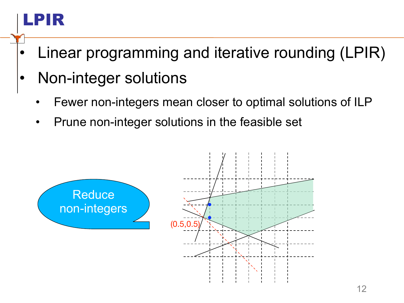# LPIR

- Linear programming and iterative rounding (LPIR)
- Non-integer solutions
	- Fewer non-integers mean closer to optimal solutions of ILP
	- Prune non-integer solutions in the feasible set

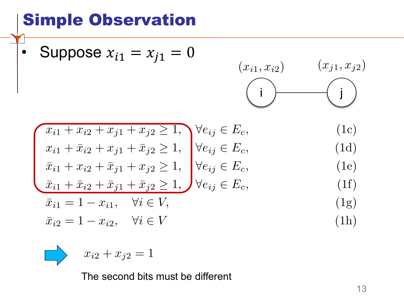#### Simple Observation

• Suppose 
$$
x_{i1} = x_{j1} = 0
$$

$$
(x_{i1}, x_{i2}) \qquad (x_{j1}, x_{j2})
$$

$$
\begin{aligned}\n\overline{x}_{i1} + \overline{x}_{i2} + \overline{x}_{j1} + \overline{x}_{j2} &\ge 1, \\
\overline{x}_{i1} + \overline{x}_{i2} + \overline{x}_{j1} + \overline{x}_{j2} &\ge 1, \\
\overline{x}_{i1} + \overline{x}_{i2} + \overline{x}_{j1} + \overline{x}_{j2} &\ge 1, \\
\overline{x}_{i1} + \overline{x}_{i2} + \overline{x}_{j1} + \overline{x}_{j2} &\ge 1, \\
\overline{x}_{i2} + \overline{x}_{j1} + \overline{x}_{j2} &\ge 1, \\
\overline{x}_{i2} + \overline{x}_{j1} + \overline{x}_{j2} &\ge 1, \\
\overline{x}_{i3} + \overline{x}_{i2} + \overline{x}_{j1} + \overline{x}_{j2} &\ge 1, \\
\overline{x}_{i4} + \overline{x}_{i2} + \overline{x}_{j1} + \overline{x}_{j2} &\ge 1, \\
\overline{x}_{i5} + \overline{x}_{i2} + \overline{x}_{j1} + \overline{x}_{j2} &\ge 1, \\
\overline{x}_{i6} + \overline{x}_{i7} + \overline{x}_{i8} &\ge 1, \\
\overline{x}_{i7} + \overline{x}_{i8} + \overline{x}_{i9} + \overline{x}_{i1} + \overline{x}_{i1} &\ge 1, \\
\overline{x}_{i8} + \overline{x}_{i1} + \overline{x}_{i2} &\ge 1, \\
\overline{x}_{i9} + \overline{x}_{i1} + \overline{x}_{i2} &\ge 1, \\
\overline{x}_{i0} + \overline{x}_{i1} + \overline{x}_{i2} &\ge 1, \\
\overline{x}_{i1} + \overline{x}_{i2} + \overline{x}_{i1} &\ge 1, \\
\overline{x}_{i2} + \overline{x}_{i2} + \overline{x}_{i2} &\ge 1, \\
\overline{x}_{i1} + \overline{x}_{i2} + \overline{x}_{i2} &\ge 1, \\
\overline{x}_{i2} + \overline{x}_{i2} + \overline{x}_{i2} &\ge 1, \\
\overline{x}_{i1} + \overline{x}_{i2} &\ge 1, \\
\overline{x}_{i2} + \overline{x}_{i1} &\ge 1, \\
\overline{x}_{i2} + \overline{x}_{i2} &\ge 1, \\
\overline{x}_{i1
$$

$$
\overline{x}_{i1} = 1 - x_{i1}, \quad \forall i \in V,
$$
\n(1g)

$$
\bar{x}_{i2} = 1 - x_{i2}, \quad \forall i \in V \tag{1h}
$$

$$
\qquad \qquad \Longrightarrow
$$

The picture can't be displayed.

$$
x_{i2} + x_{j2} = 1
$$

The second bits must be different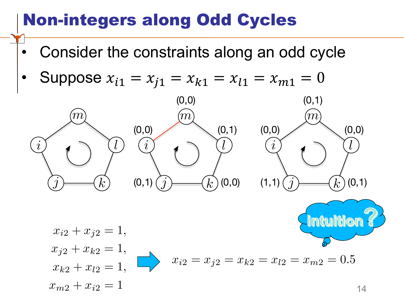#### Non-integers along Odd Cycles

- Consider the constraints along an odd cycle
- Suppose  $x_{i1} = x_{i1} = x_{k1} = x_{l1} = x_{m1} = 0$

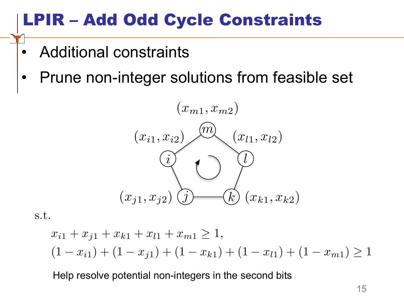#### LPIR – Add Odd Cycle Constraints

- Additional constraints
- Prune non-integer solutions from feasible set



s.t.

The picture can't be displayed.

$$
x_{i1} + x_{j1} + x_{k1} + x_{l1} + x_{m1} \ge 1,
$$
  
(1 - x<sub>i1</sub>) + (1 - x<sub>j1</sub>) + (1 - x<sub>k1</sub>) + (1 - x<sub>l1</sub>) + (1 - x<sub>m1</sub>) \ge 1

Help resolve potential non-integers in the second bits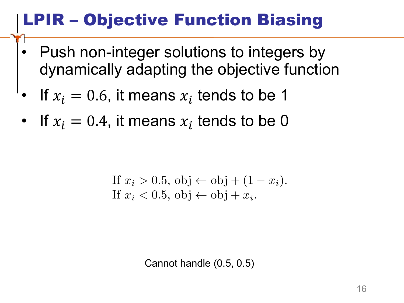# LPIR – Objective Function Biasing

- Push non-integer solutions to integers by dynamically adapting the objective function
- If  $x_i = 0.6$ , it means  $x_i$  tends to be 1

The picture can't be displayed.

• If  $x_i = 0.4$ , it means  $x_i$  tends to be 0

If 
$$
x_i > 0.5
$$
,  $obj \leftarrow obj + (1 - x_i)$ .  
If  $x_i < 0.5$ ,  $obj \leftarrow obj + x_i$ .

Cannot handle (0.5, 0.5)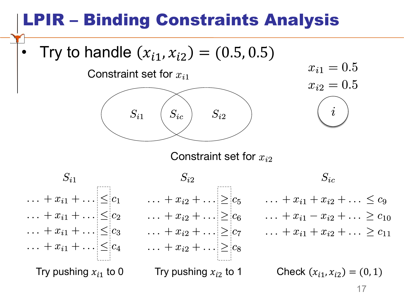## R – Binding Constraints Analysis

The picture

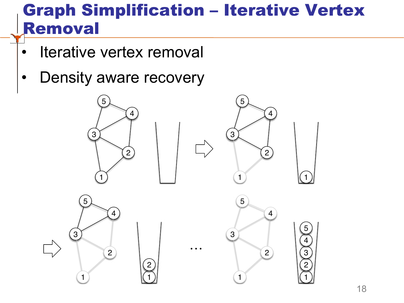#### Graph Simplification – Iterative Vertex Removal

Iterative vertex removal

The picture can't be displayed.

Density aware recovery

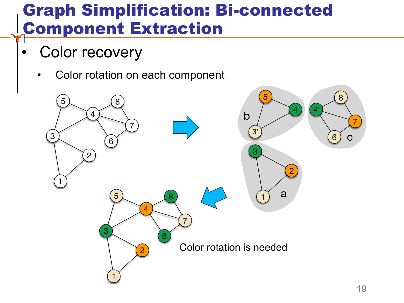#### Graph Simplification: Bi-connected Component Extraction

Color recovery

The picture can't be displayed.

• Color rotation on each component

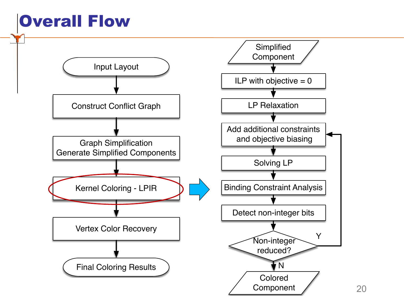## Overall Flow

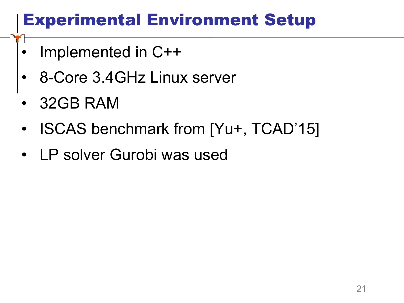#### Experimental Environment Setup

- Implemented in C++
- 8-Core 3.4GHz Linux server
- 32GB RAM

- ISCAS benchmark from [Yu+, TCAD'15]
- LP solver Gurobi was used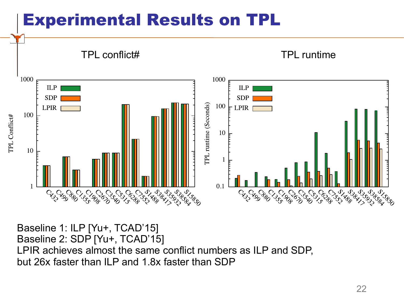#### Experimental Results on TPL



Baseline 1: ILP [Yu+, TCAD'15] Baseline 2: SDP [Yu+, TCAD'15] LPIR achieves almost the same conflict numbers as ILP and SDP, but 26x faster than ILP and 1.8x faster than SDP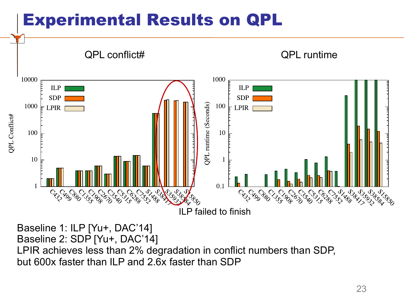#### Experimental Results on QPL



Baseline 1: ILP [Yu+, DAC'14] Baseline 2: SDP [Yu+, DAC'14] LPIR achieves less than 2% degradation in conflict numbers than SDP, but 600x faster than ILP and 2.6x faster than SDP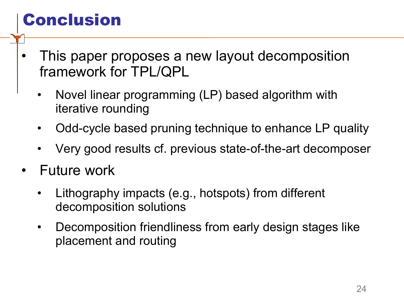### Conclusion

- This paper proposes a new layout decomposition framework for TPL/QPL
	- Novel linear programming (LP) based algorithm with iterative rounding
	- Odd-cycle based pruning technique to enhance LP quality
	- Very good results cf. previous state-of-the-art decomposer
- Future work
	- Lithography impacts (e.g., hotspots) from different decomposition solutions
	- Decomposition friendliness from early design stages like placement and routing